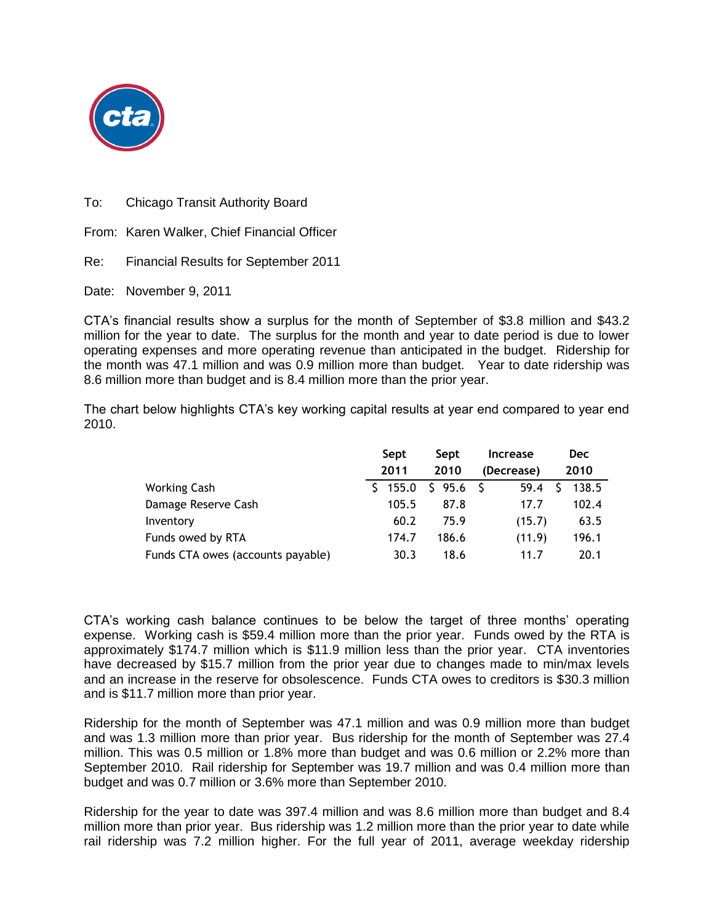

To: Chicago Transit Authority Board

From: Karen Walker, Chief Financial Officer

Re: Financial Results for September 2011

Date: November 9, 2011

CTA's financial results show a surplus for the month of September of \$3.8 million and \$43.2 million for the year to date. The surplus for the month and year to date period is due to lower operating expenses and more operating revenue than anticipated in the budget. Ridership for the month was 47.1 million and was 0.9 million more than budget. Year to date ridership was 8.6 million more than budget and is 8.4 million more than the prior year.

The chart below highlights CTA's key working capital results at year end compared to year end 2010.

|                                   | Sept  | Sept     | <b>Increase</b> | <b>Dec</b> |
|-----------------------------------|-------|----------|-----------------|------------|
|                                   | 2011  | 2010     | (Decrease)      | 2010       |
| <b>Working Cash</b>               | 155.0 | \$95.6\$ | 59.4            | 138.5      |
| Damage Reserve Cash               | 105.5 | 87.8     | 17.7            | 102.4      |
| Inventory                         | 60.2  | 75.9     | (15.7)          | 63.5       |
| Funds owed by RTA                 | 174.7 | 186.6    | (11.9)          | 196.1      |
| Funds CTA owes (accounts payable) | 30.3  | 18.6     | 11.7            | 20.1       |

CTA's working cash balance continues to be below the target of three months' operating expense. Working cash is \$59.4 million more than the prior year. Funds owed by the RTA is approximately \$174.7 million which is \$11.9 million less than the prior year. CTA inventories have decreased by \$15.7 million from the prior year due to changes made to min/max levels and an increase in the reserve for obsolescence. Funds CTA owes to creditors is \$30.3 million and is \$11.7 million more than prior year.

Ridership for the month of September was 47.1 million and was 0.9 million more than budget and was 1.3 million more than prior year. Bus ridership for the month of September was 27.4 million. This was 0.5 million or 1.8% more than budget and was 0.6 million or 2.2% more than September 2010. Rail ridership for September was 19.7 million and was 0.4 million more than budget and was 0.7 million or 3.6% more than September 2010.

Ridership for the year to date was 397.4 million and was 8.6 million more than budget and 8.4 million more than prior year. Bus ridership was 1.2 million more than the prior year to date while rail ridership was 7.2 million higher. For the full year of 2011, average weekday ridership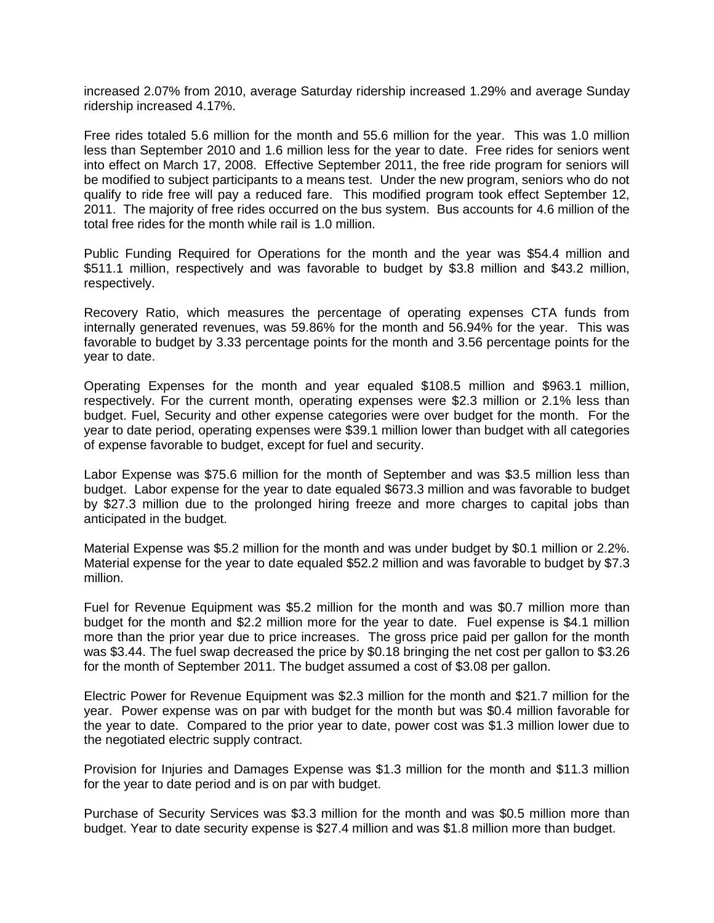increased 2.07% from 2010, average Saturday ridership increased 1.29% and average Sunday ridership increased 4.17%.

Free rides totaled 5.6 million for the month and 55.6 million for the year. This was 1.0 million less than September 2010 and 1.6 million less for the year to date. Free rides for seniors went into effect on March 17, 2008. Effective September 2011, the free ride program for seniors will be modified to subject participants to a means test. Under the new program, seniors who do not qualify to ride free will pay a reduced fare. This modified program took effect September 12, 2011. The majority of free rides occurred on the bus system. Bus accounts for 4.6 million of the total free rides for the month while rail is 1.0 million.

Public Funding Required for Operations for the month and the year was \$54.4 million and \$511.1 million, respectively and was favorable to budget by \$3.8 million and \$43.2 million, respectively.

Recovery Ratio, which measures the percentage of operating expenses CTA funds from internally generated revenues, was 59.86% for the month and 56.94% for the year. This was favorable to budget by 3.33 percentage points for the month and 3.56 percentage points for the year to date.

Operating Expenses for the month and year equaled \$108.5 million and \$963.1 million, respectively. For the current month, operating expenses were \$2.3 million or 2.1% less than budget. Fuel, Security and other expense categories were over budget for the month. For the year to date period, operating expenses were \$39.1 million lower than budget with all categories of expense favorable to budget, except for fuel and security.

Labor Expense was \$75.6 million for the month of September and was \$3.5 million less than budget. Labor expense for the year to date equaled \$673.3 million and was favorable to budget by \$27.3 million due to the prolonged hiring freeze and more charges to capital jobs than anticipated in the budget.

Material Expense was \$5.2 million for the month and was under budget by \$0.1 million or 2.2%. Material expense for the year to date equaled \$52.2 million and was favorable to budget by \$7.3 million.

Fuel for Revenue Equipment was \$5.2 million for the month and was \$0.7 million more than budget for the month and \$2.2 million more for the year to date. Fuel expense is \$4.1 million more than the prior year due to price increases. The gross price paid per gallon for the month was \$3.44. The fuel swap decreased the price by \$0.18 bringing the net cost per gallon to \$3.26 for the month of September 2011. The budget assumed a cost of \$3.08 per gallon.

Electric Power for Revenue Equipment was \$2.3 million for the month and \$21.7 million for the year. Power expense was on par with budget for the month but was \$0.4 million favorable for the year to date. Compared to the prior year to date, power cost was \$1.3 million lower due to the negotiated electric supply contract.

Provision for Injuries and Damages Expense was \$1.3 million for the month and \$11.3 million for the year to date period and is on par with budget.

Purchase of Security Services was \$3.3 million for the month and was \$0.5 million more than budget. Year to date security expense is \$27.4 million and was \$1.8 million more than budget.